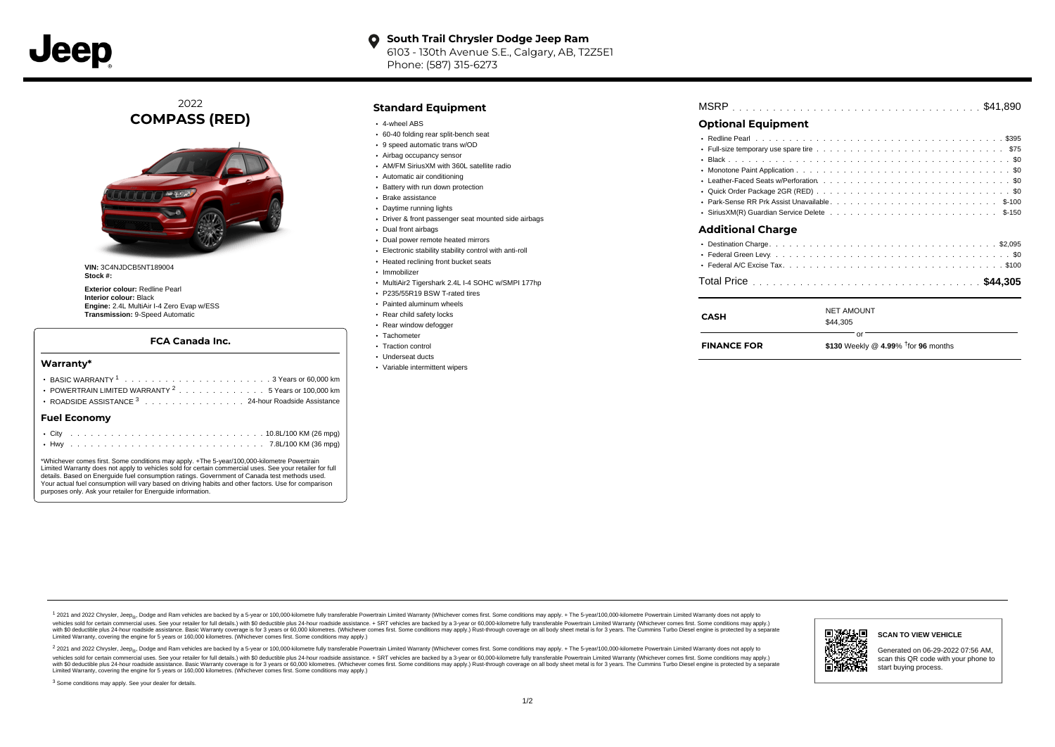

#### **South Trail Chrysler Dodge Jeep Ram**  $\bullet$ 6103 - 130th Avenue S.E., Calgary, AB, T2Z5E1 Phone: (587) 315-6273

2022 **COMPASS (RED)**



**VIN:** 3C4NJDCB5NT189004 **Stock #:**

**Exterior colour:** Redline Pearl **Interior colour:** Black **Engine:** 2.4L MultiAir I-4 Zero Evap w/ESS **Transmission:** 9-Speed Automatic

#### **FCA Canada Inc.**

#### **Warranty\***

| POWERTRAIN LIMITED WARRANTY <sup>2</sup> 5 Years or 100,000 km |  |
|----------------------------------------------------------------|--|
| ROADSIDE ASSISTANCE 3 24-hour Roadside Assistance              |  |
| <b>Fuel Economv</b>                                            |  |
|                                                                |  |

\*Whichever comes first. Some conditions may apply. +The 5-year/100,000-kilometre Powertrain Limited Warranty does not apply to vehicles sold for certain commercial uses. See your retailer for full details. Based on Energuide fuel consumption ratings. Government of Canada test methods used. Your actual fuel consumption will vary based on driving habits and other factors. Use for comparison purposes only. Ask your retailer for Energuide information.

. . . . . . . . . . . . . . . . . . . . . . . . . . . . . . . . . . . . . . . . . . . Hwy 7.8L/100 KM (36 mpg)

#### **Standard Equipment**

- 4-wheel ABS
- 60-40 folding rear split-bench seat
- 9 speed automatic trans w/OD
- Airbag occupancy sensor
- AM/FM SiriusXM with 360L satellite radio
- Automatic air conditioning
- Battery with run down protection
- Brake assistance
- Daytime running lights
- Driver & front passenger seat mounted side airbags
- Dual front airbags
- Dual power remote heated mirrors
- Electronic stability stability control with anti-roll
- Heated reclining front bucket seats
- Immobilizer
- MultiAir2 Tigershark 2.4L I-4 SOHC w/SMPI 177hp
- P235/55R19 BSW T-rated tires
- Painted aluminum wheels
- Rear child safety locks
- Rear window defogger
- Tachometer • Traction control
- Underseat ducts
- Variable intermittent wipers

| <b>Optional Equipment</b> |  |  |
|---------------------------|--|--|

## . . . . . . . . . . . . . . . . . . . . . . . . . . . . . . . . . . . . . . . . . . . . . . Redline Pearl \$395 Full-size temporary use spare tire  $\ldots \ldots \ldots \ldots \ldots \ldots \ldots \ldots \ldots \ldots \ldots \$ . . . . . . . . . . . . . . . . . . . . . . . . . . . . . . . . . . . . . . . . . . . . . . Black \$0 . . . . . . . . . . . . . . . . . . . . . . . . . . . . . . . . . . . . . . . . . . . . . . Monotone Paint Application \$0 Leather-Faced Seats w/Perforation  $\ldots \ldots \ldots \ldots \ldots \ldots \ldots \ldots \ldots \ldots \ldots \ldots \ldots \$ Quick Order Package 2GR (RED) ............................... . . . . . . . . . . . . . . . . . . . . . . . . . . . . . . . . . . . . . . . . . . . . . . Park-Sense RR Prk Assist Unavailable \$-100 . . . . . . . . . . . . . . . . . . . . . . . . . . . . . . . . . . . . . . . . . . . . . . SiriusXM(R) Guardian Service Delete \$-150 . . . . . . . . . . . . . . . . . . . . . . . . . . . . . . . . . . . . . . . . . . . . . . Destination Charge \$2,095 . . . . . . . . . . . . . . . . . . . . . . . . . . . . . . . . . . . . . . . . . . . . . . Federal Green Levy \$0 . . . . . . . . . . . . . . . . . . . . . . . . . . . . . . . . . . . . . . . . . . . . . . Federal A/C Excise Tax \$100 . . . . . . . . . . . . . . . . . . . . . . . . . . . . . . . . . . . . . . . . . . . . . . Total Price **\$44,305 Additional Charge**

| CASH               | <b>NET AMOUNT</b><br>\$44,305                    |
|--------------------|--------------------------------------------------|
| <b>FINANCE FOR</b> | \$130 Weekly @ 4.99% $\frac{1}{1}$ for 96 months |

1 2021 and 2022 Chrysler, Jeep<sub>en</sub> Dodge and Ram vehicles are backed by a 5-year or 100,000-kilometre fully transferable Powertrain Limited Warranty (Whichever comes first. Some conditions may apply. + The 5-year/100,000-k vehicles sold for certain commercial uses. See your retailer for full details.) with \$0 deductible plus 24-hour madside assistance. + SRT vehicles are backed by a 3-year or 60.000-kilometre fully transferable Powertrain Li ventals and contract when the contract when the contract you contract when the contract when the control of the set of a set of a set of a set of 3 years of 60,000 kilometres. Whichever comes first. Some conditions may app Limited Warranty, covering the engine for 5 years or 160,000 kilometres. (Whichever comes first. Some conditions may apply.)

2 2021 and 2022 Chrysler, Jeep<sub>es</sub> Dodge and Ram vehicles are backed by a 5-year or 100,000-kilometre fully transferable Powertrain Limited Warranty (Whichever comes first. Some conditions may apply. + The 5-year/100,000-k vehicles sold for certain commercial uses. See your retailer for full details.) with SO deductible plus 24-hour roadside assistance. + SRT vehicles are backed by a 3-year or 60.000-kilometre fully transferable Powertrain L with S0 deductible plus 24-hour roadside assistance. Basic Warranty coverage is for 3 years or 60,000 kilometres. (Whichever comes first. Some conditions may apply.) Rust-through coverage on all body sheet metal is for 3 y 同源组版画

## **SCAN TO VIEW VEHICLE** Generated on 06-29-2022 07:56 AM,

scan this QR code with your phone to start buying process.

<sup>3</sup> Some conditions may apply. See your dealer for details.